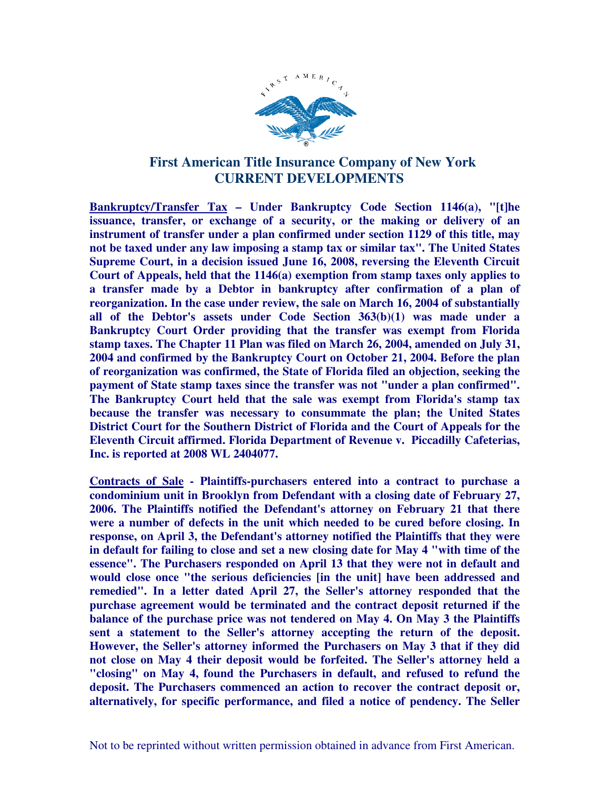

## **First American Title Insurance Company of New York CURRENT DEVELOPMENTS**

**Bankruptcy/Transfer Tax – Under Bankruptcy Code Section 1146(a), "[t]he issuance, transfer, or exchange of a security, or the making or delivery of an instrument of transfer under a plan confirmed under section 1129 of this title, may not be taxed under any law imposing a stamp tax or similar tax". The United States Supreme Court, in a decision issued June 16, 2008, reversing the Eleventh Circuit Court of Appeals, held that the 1146(a) exemption from stamp taxes only applies to a transfer made by a Debtor in bankruptcy after confirmation of a plan of reorganization. In the case under review, the sale on March 16, 2004 of substantially all of the Debtor's assets under Code Section 363(b)(1) was made under a Bankruptcy Court Order providing that the transfer was exempt from Florida stamp taxes. The Chapter 11 Plan was filed on March 26, 2004, amended on July 31, 2004 and confirmed by the Bankruptcy Court on October 21, 2004. Before the plan of reorganization was confirmed, the State of Florida filed an objection, seeking the payment of State stamp taxes since the transfer was not "under a plan confirmed". The Bankruptcy Court held that the sale was exempt from Florida's stamp tax because the transfer was necessary to consummate the plan; the United States District Court for the Southern District of Florida and the Court of Appeals for the Eleventh Circuit affirmed. Florida Department of Revenue v. Piccadilly Cafeterias, Inc. is reported at 2008 WL 2404077.** 

**Contracts of Sale - Plaintiffs-purchasers entered into a contract to purchase a condominium unit in Brooklyn from Defendant with a closing date of February 27, 2006. The Plaintiffs notified the Defendant's attorney on February 21 that there were a number of defects in the unit which needed to be cured before closing. In response, on April 3, the Defendant's attorney notified the Plaintiffs that they were in default for failing to close and set a new closing date for May 4 "with time of the essence". The Purchasers responded on April 13 that they were not in default and would close once "the serious deficiencies [in the unit] have been addressed and remedied". In a letter dated April 27, the Seller's attorney responded that the purchase agreement would be terminated and the contract deposit returned if the balance of the purchase price was not tendered on May 4. On May 3 the Plaintiffs sent a statement to the Seller's attorney accepting the return of the deposit. However, the Seller's attorney informed the Purchasers on May 3 that if they did not close on May 4 their deposit would be forfeited. The Seller's attorney held a "closing" on May 4, found the Purchasers in default, and refused to refund the deposit. The Purchasers commenced an action to recover the contract deposit or, alternatively, for specific performance, and filed a notice of pendency. The Seller**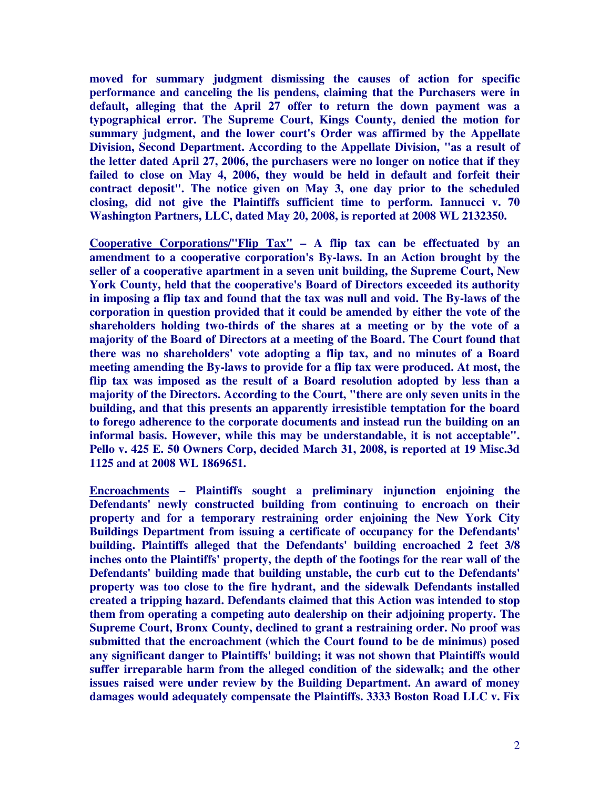**moved for summary judgment dismissing the causes of action for specific performance and canceling the lis pendens, claiming that the Purchasers were in default, alleging that the April 27 offer to return the down payment was a typographical error. The Supreme Court, Kings County, denied the motion for summary judgment, and the lower court's Order was affirmed by the Appellate Division, Second Department. According to the Appellate Division, "as a result of the letter dated April 27, 2006, the purchasers were no longer on notice that if they failed to close on May 4, 2006, they would be held in default and forfeit their contract deposit". The notice given on May 3, one day prior to the scheduled closing, did not give the Plaintiffs sufficient time to perform. Iannucci v. 70 Washington Partners, LLC, dated May 20, 2008, is reported at 2008 WL 2132350.** 

**Cooperative Corporations/"Flip Tax" – A flip tax can be effectuated by an amendment to a cooperative corporation's By-laws. In an Action brought by the seller of a cooperative apartment in a seven unit building, the Supreme Court, New York County, held that the cooperative's Board of Directors exceeded its authority in imposing a flip tax and found that the tax was null and void. The By-laws of the corporation in question provided that it could be amended by either the vote of the shareholders holding two-thirds of the shares at a meeting or by the vote of a majority of the Board of Directors at a meeting of the Board. The Court found that there was no shareholders' vote adopting a flip tax, and no minutes of a Board meeting amending the By-laws to provide for a flip tax were produced. At most, the flip tax was imposed as the result of a Board resolution adopted by less than a majority of the Directors. According to the Court, "there are only seven units in the building, and that this presents an apparently irresistible temptation for the board to forego adherence to the corporate documents and instead run the building on an informal basis. However, while this may be understandable, it is not acceptable". Pello v. 425 E. 50 Owners Corp, decided March 31, 2008, is reported at 19 Misc.3d 1125 and at 2008 WL 1869651.** 

**Encroachments – Plaintiffs sought a preliminary injunction enjoining the Defendants' newly constructed building from continuing to encroach on their property and for a temporary restraining order enjoining the New York City Buildings Department from issuing a certificate of occupancy for the Defendants' building. Plaintiffs alleged that the Defendants' building encroached 2 feet 3/8 inches onto the Plaintiffs' property, the depth of the footings for the rear wall of the Defendants' building made that building unstable, the curb cut to the Defendants' property was too close to the fire hydrant, and the sidewalk Defendants installed created a tripping hazard. Defendants claimed that this Action was intended to stop them from operating a competing auto dealership on their adjoining property. The Supreme Court, Bronx County, declined to grant a restraining order. No proof was submitted that the encroachment (which the Court found to be de minimus) posed any significant danger to Plaintiffs' building; it was not shown that Plaintiffs would suffer irreparable harm from the alleged condition of the sidewalk; and the other issues raised were under review by the Building Department. An award of money damages would adequately compensate the Plaintiffs. 3333 Boston Road LLC v. Fix**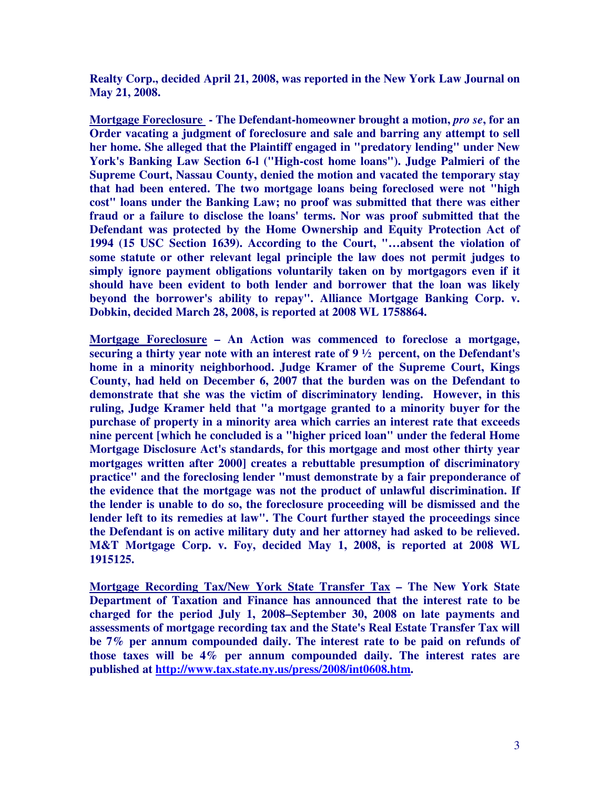**Realty Corp., decided April 21, 2008, was reported in the New York Law Journal on May 21, 2008.** 

**Mortgage Foreclosure - The Defendant-homeowner brought a motion,** *pro se***, for an Order vacating a judgment of foreclosure and sale and barring any attempt to sell her home. She alleged that the Plaintiff engaged in "predatory lending" under New York's Banking Law Section 6-l ("High-cost home loans"). Judge Palmieri of the Supreme Court, Nassau County, denied the motion and vacated the temporary stay that had been entered. The two mortgage loans being foreclosed were not "high cost" loans under the Banking Law; no proof was submitted that there was either fraud or a failure to disclose the loans' terms. Nor was proof submitted that the Defendant was protected by the Home Ownership and Equity Protection Act of 1994 (15 USC Section 1639). According to the Court, "…absent the violation of some statute or other relevant legal principle the law does not permit judges to simply ignore payment obligations voluntarily taken on by mortgagors even if it should have been evident to both lender and borrower that the loan was likely beyond the borrower's ability to repay". Alliance Mortgage Banking Corp. v. Dobkin, decided March 28, 2008, is reported at 2008 WL 1758864.** 

**Mortgage Foreclosure – An Action was commenced to foreclose a mortgage, securing a thirty year note with an interest rate of 9 ½ percent, on the Defendant's home in a minority neighborhood. Judge Kramer of the Supreme Court, Kings County, had held on December 6, 2007 that the burden was on the Defendant to demonstrate that she was the victim of discriminatory lending. However, in this ruling, Judge Kramer held that "a mortgage granted to a minority buyer for the purchase of property in a minority area which carries an interest rate that exceeds nine percent [which he concluded is a "higher priced loan" under the federal Home Mortgage Disclosure Act's standards, for this mortgage and most other thirty year mortgages written after 2000] creates a rebuttable presumption of discriminatory practice" and the foreclosing lender "must demonstrate by a fair preponderance of the evidence that the mortgage was not the product of unlawful discrimination. If the lender is unable to do so, the foreclosure proceeding will be dismissed and the lender left to its remedies at law". The Court further stayed the proceedings since the Defendant is on active military duty and her attorney had asked to be relieved. M&T Mortgage Corp. v. Foy, decided May 1, 2008, is reported at 2008 WL 1915125.** 

**Mortgage Recording Tax/New York State Transfer Tax – The New York State Department of Taxation and Finance has announced that the interest rate to be charged for the period July 1, 2008–September 30, 2008 on late payments and assessments of mortgage recording tax and the State's Real Estate Transfer Tax will be 7% per annum compounded daily. The interest rate to be paid on refunds of those taxes will be 4% per annum compounded daily. The interest rates are published at http://www.tax.state.ny.us/press/2008/int0608.htm.**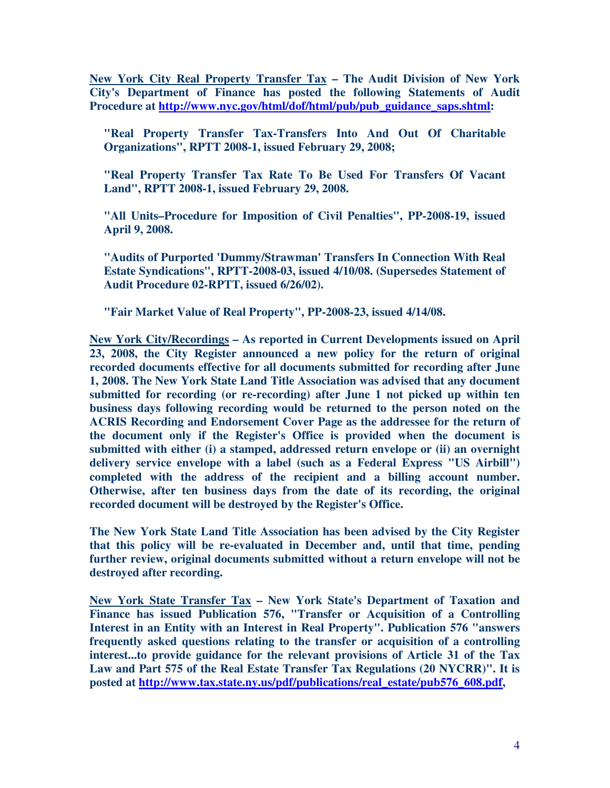**New York City Real Property Transfer Tax – The Audit Division of New York City's Department of Finance has posted the following Statements of Audit Procedure at http://www.nyc.gov/html/dof/html/pub/pub\_guidance\_saps.shtml:** 

**"Real Property Transfer Tax-Transfers Into And Out Of Charitable Organizations", RPTT 2008-1, issued February 29, 2008;** 

**"Real Property Transfer Tax Rate To Be Used For Transfers Of Vacant Land", RPTT 2008-1, issued February 29, 2008.** 

**"All Units–Procedure for Imposition of Civil Penalties", PP-2008-19, issued April 9, 2008.** 

**"Audits of Purported 'Dummy/Strawman' Transfers In Connection With Real Estate Syndications", RPTT-2008-03, issued 4/10/08. (Supersedes Statement of Audit Procedure 02-RPTT, issued 6/26/02).** 

**"Fair Market Value of Real Property", PP-2008-23, issued 4/14/08.** 

**New York City/Recordings – As reported in Current Developments issued on April 23, 2008, the City Register announced a new policy for the return of original recorded documents effective for all documents submitted for recording after June 1, 2008. The New York State Land Title Association was advised that any document submitted for recording (or re-recording) after June 1 not picked up within ten business days following recording would be returned to the person noted on the ACRIS Recording and Endorsement Cover Page as the addressee for the return of the document only if the Register's Office is provided when the document is submitted with either (i) a stamped, addressed return envelope or (ii) an overnight delivery service envelope with a label (such as a Federal Express "US Airbill") completed with the address of the recipient and a billing account number. Otherwise, after ten business days from the date of its recording, the original recorded document will be destroyed by the Register's Office.** 

**The New York State Land Title Association has been advised by the City Register that this policy will be re-evaluated in December and, until that time, pending further review, original documents submitted without a return envelope will not be destroyed after recording.** 

**New York State Transfer Tax – New York State's Department of Taxation and Finance has issued Publication 576, "Transfer or Acquisition of a Controlling Interest in an Entity with an Interest in Real Property". Publication 576 "answers frequently asked questions relating to the transfer or acquisition of a controlling interest...to provide guidance for the relevant provisions of Article 31 of the Tax Law and Part 575 of the Real Estate Transfer Tax Regulations (20 NYCRR)". It is posted at http://www.tax.state.ny.us/pdf/publications/real\_estate/pub576\_608.pdf,**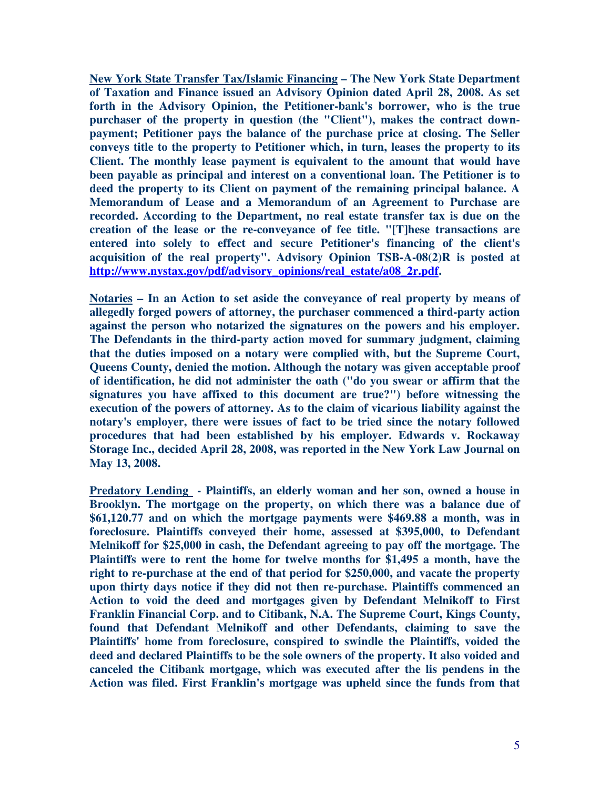**New York State Transfer Tax/Islamic Financing – The New York State Department of Taxation and Finance issued an Advisory Opinion dated April 28, 2008. As set forth in the Advisory Opinion, the Petitioner-bank's borrower, who is the true purchaser of the property in question (the "Client"), makes the contract downpayment; Petitioner pays the balance of the purchase price at closing. The Seller conveys title to the property to Petitioner which, in turn, leases the property to its Client. The monthly lease payment is equivalent to the amount that would have been payable as principal and interest on a conventional loan. The Petitioner is to deed the property to its Client on payment of the remaining principal balance. A Memorandum of Lease and a Memorandum of an Agreement to Purchase are recorded. According to the Department, no real estate transfer tax is due on the creation of the lease or the re-conveyance of fee title. "[T]hese transactions are entered into solely to effect and secure Petitioner's financing of the client's acquisition of the real property". Advisory Opinion TSB-A-08(2)R is posted at http://www.nystax.gov/pdf/advisory\_opinions/real\_estate/a08\_2r.pdf.** 

**Notaries – In an Action to set aside the conveyance of real property by means of allegedly forged powers of attorney, the purchaser commenced a third-party action against the person who notarized the signatures on the powers and his employer. The Defendants in the third-party action moved for summary judgment, claiming that the duties imposed on a notary were complied with, but the Supreme Court, Queens County, denied the motion. Although the notary was given acceptable proof of identification, he did not administer the oath ("do you swear or affirm that the signatures you have affixed to this document are true?") before witnessing the execution of the powers of attorney. As to the claim of vicarious liability against the notary's employer, there were issues of fact to be tried since the notary followed procedures that had been established by his employer. Edwards v. Rockaway Storage Inc., decided April 28, 2008, was reported in the New York Law Journal on May 13, 2008.** 

**Predatory Lending - Plaintiffs, an elderly woman and her son, owned a house in Brooklyn. The mortgage on the property, on which there was a balance due of \$61,120.77 and on which the mortgage payments were \$469.88 a month, was in foreclosure. Plaintiffs conveyed their home, assessed at \$395,000, to Defendant Melnikoff for \$25,000 in cash, the Defendant agreeing to pay off the mortgage. The Plaintiffs were to rent the home for twelve months for \$1,495 a month, have the right to re-purchase at the end of that period for \$250,000, and vacate the property upon thirty days notice if they did not then re-purchase. Plaintiffs commenced an Action to void the deed and mortgages given by Defendant Melnikoff to First Franklin Financial Corp. and to Citibank, N.A. The Supreme Court, Kings County, found that Defendant Melnikoff and other Defendants, claiming to save the Plaintiffs' home from foreclosure, conspired to swindle the Plaintiffs, voided the deed and declared Plaintiffs to be the sole owners of the property. It also voided and canceled the Citibank mortgage, which was executed after the lis pendens in the Action was filed. First Franklin's mortgage was upheld since the funds from that**